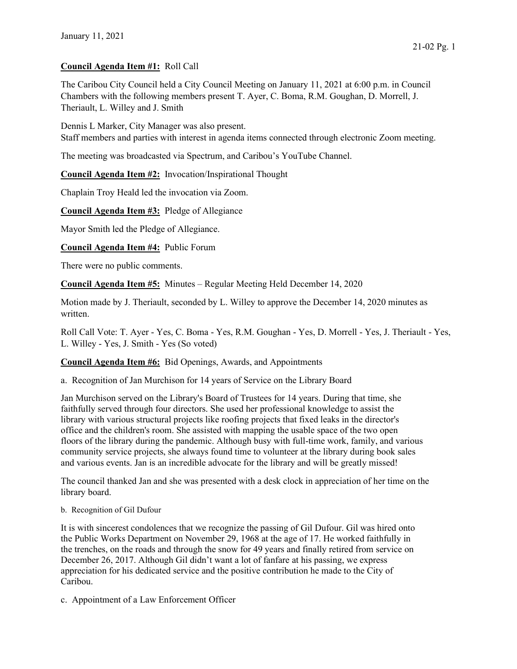## Council Agenda Item #1: Roll Call

The Caribou City Council held a City Council Meeting on January 11, 2021 at 6:00 p.m. in Council Chambers with the following members present T. Ayer, C. Boma, R.M. Goughan, D. Morrell, J. Theriault, L. Willey and J. Smith

Dennis L Marker, City Manager was also present. Staff members and parties with interest in agenda items connected through electronic Zoom meeting.

The meeting was broadcasted via Spectrum, and Caribou's YouTube Channel.

Council Agenda Item #2: Invocation/Inspirational Thought

Chaplain Troy Heald led the invocation via Zoom.

Council Agenda Item #3: Pledge of Allegiance

Mayor Smith led the Pledge of Allegiance.

Council Agenda Item #4: Public Forum

There were no public comments.

Council Agenda Item #5: Minutes – Regular Meeting Held December 14, 2020

Motion made by J. Theriault, seconded by L. Willey to approve the December 14, 2020 minutes as written.

Roll Call Vote: T. Ayer - Yes, C. Boma - Yes, R.M. Goughan - Yes, D. Morrell - Yes, J. Theriault - Yes, L. Willey - Yes, J. Smith - Yes (So voted)

## Council Agenda Item #6: Bid Openings, Awards, and Appointments

a. Recognition of Jan Murchison for 14 years of Service on the Library Board

Jan Murchison served on the Library's Board of Trustees for 14 years. During that time, she faithfully served through four directors. She used her professional knowledge to assist the library with various structural projects like roofing projects that fixed leaks in the director's office and the children's room. She assisted with mapping the usable space of the two open floors of the library during the pandemic. Although busy with full-time work, family, and various community service projects, she always found time to volunteer at the library during book sales and various events. Jan is an incredible advocate for the library and will be greatly missed!

The council thanked Jan and she was presented with a desk clock in appreciation of her time on the library board.

#### b. Recognition of Gil Dufour

It is with sincerest condolences that we recognize the passing of Gil Dufour. Gil was hired onto the Public Works Department on November 29, 1968 at the age of 17. He worked faithfully in the trenches, on the roads and through the snow for 49 years and finally retired from service on December 26, 2017. Although Gil didn't want a lot of fanfare at his passing, we express appreciation for his dedicated service and the positive contribution he made to the City of Caribou.

c. Appointment of a Law Enforcement Officer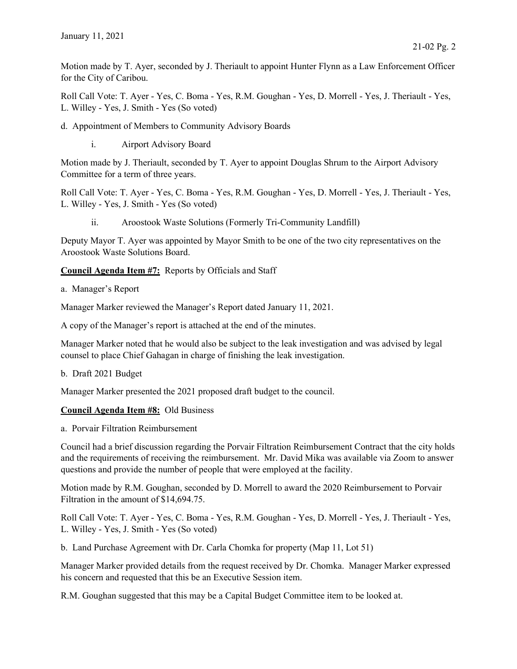Motion made by T. Ayer, seconded by J. Theriault to appoint Hunter Flynn as a Law Enforcement Officer for the City of Caribou.

Roll Call Vote: T. Ayer - Yes, C. Boma - Yes, R.M. Goughan - Yes, D. Morrell - Yes, J. Theriault - Yes, L. Willey - Yes, J. Smith - Yes (So voted)

- d. Appointment of Members to Community Advisory Boards
	- i. Airport Advisory Board

Motion made by J. Theriault, seconded by T. Ayer to appoint Douglas Shrum to the Airport Advisory Committee for a term of three years.

Roll Call Vote: T. Ayer - Yes, C. Boma - Yes, R.M. Goughan - Yes, D. Morrell - Yes, J. Theriault - Yes, L. Willey - Yes, J. Smith - Yes (So voted)

ii. Aroostook Waste Solutions (Formerly Tri-Community Landfill)

Deputy Mayor T. Ayer was appointed by Mayor Smith to be one of the two city representatives on the Aroostook Waste Solutions Board.

Council Agenda Item #7: Reports by Officials and Staff

a. Manager's Report

Manager Marker reviewed the Manager's Report dated January 11, 2021.

A copy of the Manager's report is attached at the end of the minutes.

Manager Marker noted that he would also be subject to the leak investigation and was advised by legal counsel to place Chief Gahagan in charge of finishing the leak investigation.

b. Draft 2021 Budget

Manager Marker presented the 2021 proposed draft budget to the council.

## Council Agenda Item #8: Old Business

a. Porvair Filtration Reimbursement

Council had a brief discussion regarding the Porvair Filtration Reimbursement Contract that the city holds and the requirements of receiving the reimbursement. Mr. David Mika was available via Zoom to answer questions and provide the number of people that were employed at the facility.

Motion made by R.M. Goughan, seconded by D. Morrell to award the 2020 Reimbursement to Porvair Filtration in the amount of \$14,694.75.

Roll Call Vote: T. Ayer - Yes, C. Boma - Yes, R.M. Goughan - Yes, D. Morrell - Yes, J. Theriault - Yes, L. Willey - Yes, J. Smith - Yes (So voted)

b. Land Purchase Agreement with Dr. Carla Chomka for property (Map 11, Lot 51)

Manager Marker provided details from the request received by Dr. Chomka. Manager Marker expressed his concern and requested that this be an Executive Session item.

R.M. Goughan suggested that this may be a Capital Budget Committee item to be looked at.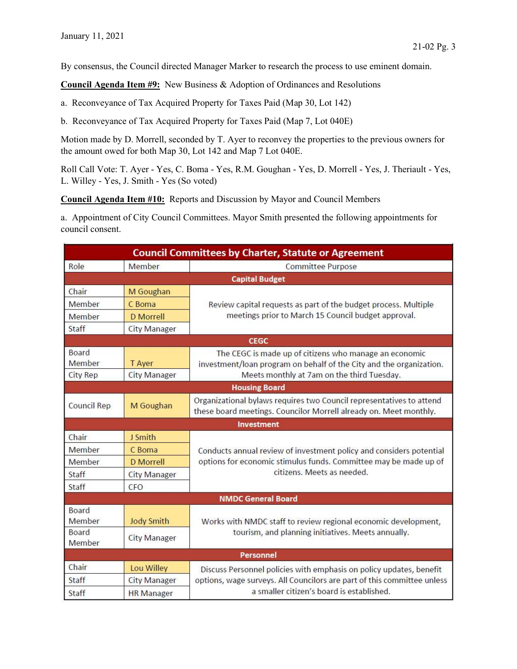By consensus, the Council directed Manager Marker to research the process to use eminent domain.

Council Agenda Item #9: New Business & Adoption of Ordinances and Resolutions

- a. Reconveyance of Tax Acquired Property for Taxes Paid (Map 30, Lot 142)
- b. Reconveyance of Tax Acquired Property for Taxes Paid (Map 7, Lot 040E)

Motion made by D. Morrell, seconded by T. Ayer to reconvey the properties to the previous owners for the amount owed for both Map 30, Lot 142 and Map 7 Lot 040E.

Roll Call Vote: T. Ayer - Yes, C. Boma - Yes, R.M. Goughan - Yes, D. Morrell - Yes, J. Theriault - Yes, L. Willey - Yes, J. Smith - Yes (So voted)

Council Agenda Item #10: Reports and Discussion by Mayor and Council Members

a. Appointment of City Council Committees. Mayor Smith presented the following appointments for council consent.

| <b>Council Committees by Charter, Statute or Agreement</b> |                               |                                                                                                                                                                                             |  |  |
|------------------------------------------------------------|-------------------------------|---------------------------------------------------------------------------------------------------------------------------------------------------------------------------------------------|--|--|
| Role                                                       | Member                        | <b>Committee Purpose</b>                                                                                                                                                                    |  |  |
|                                                            |                               | <b>Capital Budget</b>                                                                                                                                                                       |  |  |
| Chair                                                      | M Goughan                     | Review capital requests as part of the budget process. Multiple<br>meetings prior to March 15 Council budget approval.                                                                      |  |  |
| Member                                                     | C Boma                        |                                                                                                                                                                                             |  |  |
| Member                                                     | <b>D</b> Morrell              |                                                                                                                                                                                             |  |  |
| Staff                                                      | <b>City Manager</b>           |                                                                                                                                                                                             |  |  |
|                                                            |                               | <b>CEGC</b>                                                                                                                                                                                 |  |  |
| Board<br>Member<br>City Rep                                | T Ayer<br><b>City Manager</b> | The CEGC is made up of citizens who manage an economic<br>investment/loan program on behalf of the City and the organization.<br>Meets monthly at 7am on the third Tuesday.                 |  |  |
|                                                            |                               | <b>Housing Board</b>                                                                                                                                                                        |  |  |
|                                                            |                               | Organizational bylaws requires two Council representatives to attend                                                                                                                        |  |  |
| Council Rep                                                | M Goughan                     | these board meetings. Councilor Morrell already on. Meet monthly.                                                                                                                           |  |  |
|                                                            |                               | Investment                                                                                                                                                                                  |  |  |
| Chair                                                      | J Smith                       | Conducts annual review of investment policy and considers potential<br>options for economic stimulus funds. Committee may be made up of<br>citizens. Meets as needed.                       |  |  |
| Member                                                     | C Boma                        |                                                                                                                                                                                             |  |  |
| Member                                                     | <b>D</b> Morrell              |                                                                                                                                                                                             |  |  |
| Staff                                                      | <b>City Manager</b>           |                                                                                                                                                                                             |  |  |
| Staff                                                      | CFO                           |                                                                                                                                                                                             |  |  |
|                                                            |                               | <b>NMDC General Board</b>                                                                                                                                                                   |  |  |
| Board<br>Member                                            | <b>Jody Smith</b>             | Works with NMDC staff to review regional economic development,<br>tourism, and planning initiatives. Meets annually.                                                                        |  |  |
| <b>Board</b><br>Member                                     | <b>City Manager</b>           |                                                                                                                                                                                             |  |  |
|                                                            |                               | Personnel                                                                                                                                                                                   |  |  |
| Chair                                                      | Lou Willey                    | Discuss Personnel policies with emphasis on policy updates, benefit<br>options, wage surveys. All Councilors are part of this committee unless<br>a smaller citizen's board is established. |  |  |
| Staff                                                      | <b>City Manager</b>           |                                                                                                                                                                                             |  |  |
| Staff                                                      | <b>HR</b> Manager             |                                                                                                                                                                                             |  |  |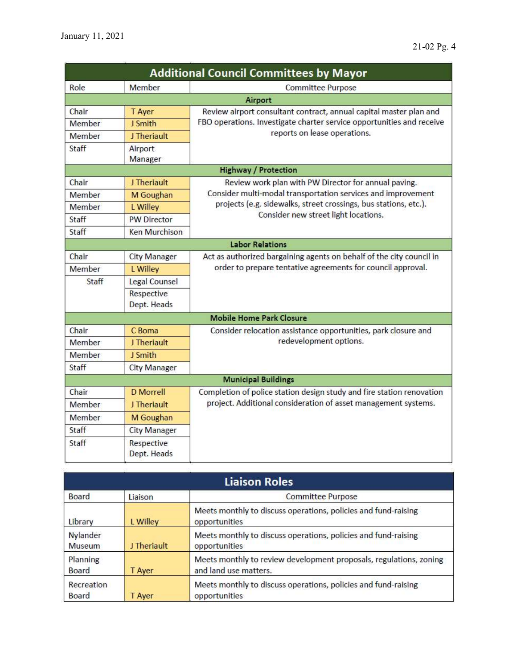| <b>Additional Council Committees by Mayor</b> |                           |                                                                                                                                                                             |  |  |
|-----------------------------------------------|---------------------------|-----------------------------------------------------------------------------------------------------------------------------------------------------------------------------|--|--|
| Role                                          | Member                    | <b>Committee Purpose</b>                                                                                                                                                    |  |  |
|                                               |                           | Airport                                                                                                                                                                     |  |  |
| Chair                                         | T Ayer                    | Review airport consultant contract, annual capital master plan and<br>FBO operations. Investigate charter service opportunities and receive<br>reports on lease operations. |  |  |
| Member                                        | J Smith                   |                                                                                                                                                                             |  |  |
| Member                                        | J Theriault               |                                                                                                                                                                             |  |  |
| Staff                                         | Airport<br>Manager        |                                                                                                                                                                             |  |  |
|                                               |                           | <b>Highway / Protection</b>                                                                                                                                                 |  |  |
| Chair                                         | J Theriault               | Review work plan with PW Director for annual paving.                                                                                                                        |  |  |
| Member                                        | M Goughan                 | Consider multi-modal transportation services and improvement<br>projects (e.g. sidewalks, street crossings, bus stations, etc.).<br>Consider new street light locations.    |  |  |
| Member                                        | L Willey                  |                                                                                                                                                                             |  |  |
| Staff                                         | <b>PW Director</b>        |                                                                                                                                                                             |  |  |
| Staff                                         | <b>Ken Murchison</b>      |                                                                                                                                                                             |  |  |
|                                               |                           | <b>Labor Relations</b>                                                                                                                                                      |  |  |
| Chair                                         | <b>City Manager</b>       | Act as authorized bargaining agents on behalf of the city council in                                                                                                        |  |  |
| Member                                        | L Willey                  | order to prepare tentative agreements for council approval.                                                                                                                 |  |  |
| Staff                                         | Legal Counsel             |                                                                                                                                                                             |  |  |
|                                               | Respective                |                                                                                                                                                                             |  |  |
|                                               | Dept. Heads               |                                                                                                                                                                             |  |  |
|                                               |                           | <b>Mobile Home Park Closure</b>                                                                                                                                             |  |  |
| Chair                                         | C Boma                    | Consider relocation assistance opportunities, park closure and<br>redevelopment options.                                                                                    |  |  |
| Member                                        | J Theriault               |                                                                                                                                                                             |  |  |
| Member                                        | J Smith                   |                                                                                                                                                                             |  |  |
| Staff                                         | <b>City Manager</b>       |                                                                                                                                                                             |  |  |
|                                               |                           | <b>Municipal Buildings</b>                                                                                                                                                  |  |  |
| Chair                                         | <b>D</b> Morrell          | Completion of police station design study and fire station renovation                                                                                                       |  |  |
| Member                                        | J Theriault               | project. Additional consideration of asset management systems.                                                                                                              |  |  |
| Member                                        | M Goughan                 |                                                                                                                                                                             |  |  |
| Staff                                         | <b>City Manager</b>       |                                                                                                                                                                             |  |  |
| Staff                                         | Respective<br>Dept. Heads |                                                                                                                                                                             |  |  |

| <b>Liaison Roles</b>      |             |                                                                                             |  |  |
|---------------------------|-------------|---------------------------------------------------------------------------------------------|--|--|
| Board                     | Liaison     | <b>Committee Purpose</b>                                                                    |  |  |
| Library                   | L Willey    | Meets monthly to discuss operations, policies and fund-raising<br>opportunities             |  |  |
| Nylander<br><b>Museum</b> | J Theriault | Meets monthly to discuss operations, policies and fund-raising<br>opportunities             |  |  |
| Planning<br>Board         | T Ayer      | Meets monthly to review development proposals, regulations, zoning<br>and land use matters. |  |  |
| Recreation<br>Board       | T Aver      | Meets monthly to discuss operations, policies and fund-raising<br>opportunities             |  |  |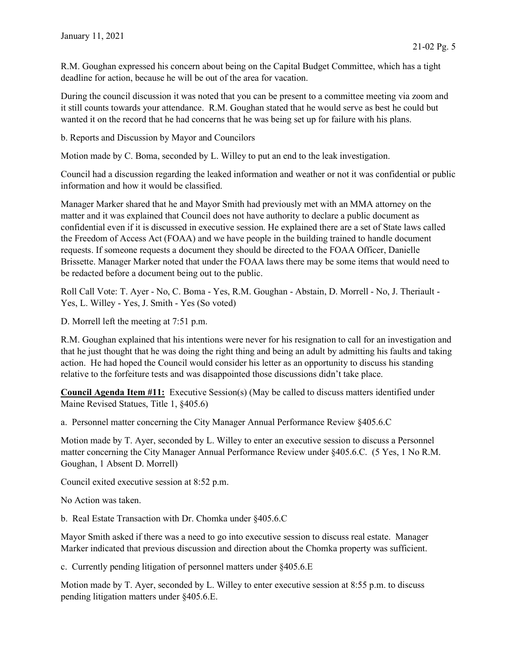R.M. Goughan expressed his concern about being on the Capital Budget Committee, which has a tight deadline for action, because he will be out of the area for vacation.

During the council discussion it was noted that you can be present to a committee meeting via zoom and it still counts towards your attendance. R.M. Goughan stated that he would serve as best he could but wanted it on the record that he had concerns that he was being set up for failure with his plans.

b. Reports and Discussion by Mayor and Councilors

Motion made by C. Boma, seconded by L. Willey to put an end to the leak investigation.

Council had a discussion regarding the leaked information and weather or not it was confidential or public information and how it would be classified.

Manager Marker shared that he and Mayor Smith had previously met with an MMA attorney on the matter and it was explained that Council does not have authority to declare a public document as confidential even if it is discussed in executive session. He explained there are a set of State laws called the Freedom of Access Act (FOAA) and we have people in the building trained to handle document requests. If someone requests a document they should be directed to the FOAA Officer, Danielle Brissette. Manager Marker noted that under the FOAA laws there may be some items that would need to be redacted before a document being out to the public.

Roll Call Vote: T. Ayer - No, C. Boma - Yes, R.M. Goughan - Abstain, D. Morrell - No, J. Theriault - Yes, L. Willey - Yes, J. Smith - Yes (So voted)

D. Morrell left the meeting at 7:51 p.m.

R.M. Goughan explained that his intentions were never for his resignation to call for an investigation and that he just thought that he was doing the right thing and being an adult by admitting his faults and taking action. He had hoped the Council would consider his letter as an opportunity to discuss his standing relative to the forfeiture tests and was disappointed those discussions didn't take place.

Council Agenda Item #11: Executive Session(s) (May be called to discuss matters identified under Maine Revised Statues, Title 1, §405.6)

a. Personnel matter concerning the City Manager Annual Performance Review §405.6.C

Motion made by T. Ayer, seconded by L. Willey to enter an executive session to discuss a Personnel matter concerning the City Manager Annual Performance Review under §405.6.C. (5 Yes, 1 No R.M. Goughan, 1 Absent D. Morrell)

Council exited executive session at 8:52 p.m.

No Action was taken.

b. Real Estate Transaction with Dr. Chomka under §405.6.C

Mayor Smith asked if there was a need to go into executive session to discuss real estate. Manager Marker indicated that previous discussion and direction about the Chomka property was sufficient.

c. Currently pending litigation of personnel matters under §405.6.E

Motion made by T. Ayer, seconded by L. Willey to enter executive session at 8:55 p.m. to discuss pending litigation matters under §405.6.E.